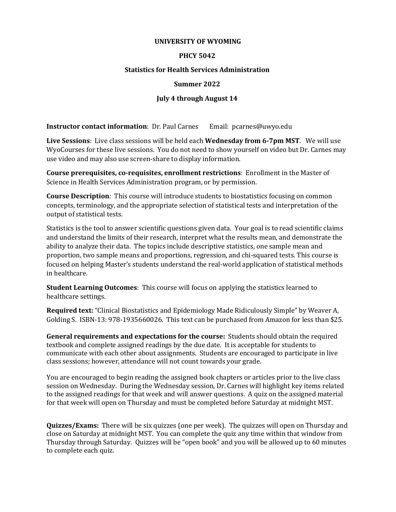#### **UNIVERSITY OF WYOMING**

### **PHCY 5042**

### **Statistics for Health Services Administration**

#### **Summer 2022**

### **July 4 through August 14**

**Instructor contact information**: Dr. Paul Carnes Email: pcarnes@uwyo.edu

**Live Sessions**: Live class sessions will be held each **Wednesday from 6-7pm MST**. We will use WyoCourses for these live sessions. You do not need to show yourself on video but Dr. Carnes may use video and may also use screen-share to display information.

**Course prerequisites, co-requisites, enrollment restrictions**: Enrollment in the Master of Science in Health Services Administration program, or by permission.

**Course Description**: This course will introduce students to biostatistics focusing on common concepts, terminology, and the appropriate selection of statistical tests and interpretation of the output of statistical tests.

Statistics is the tool to answer scientific questions given data. Your goal is to read scientific claims and understand the limits of their research, interpret what the results mean, and demonstrate the ability to analyze their data. The topics include descriptive statistics, one sample mean and proportion, two sample means and proportions, regression, and chi-squared tests. This course is focused on helping Master's students understand the real-world application of statistical methods in healthcare.

**Student Learning Outcomes**: This course will focus on applying the statistics learned to healthcare settings.

**Required text:** "Clinical Biostatistics and Epidemiology Made Ridiculously Simple" by Weaver A, Golding S. ISBN-13: 978-1935660026. This text can be purchased from Amazon for less than \$25.

**General requirements and expectations for the course:** Students should obtain the required textbook and complete assigned readings by the due date. It is acceptable for students to communicate with each other about assignments. Students are encouraged to participate in live class sessions; however, attendance will not count towards your grade.

You are encouraged to begin reading the assigned book chapters or articles prior to the live class session on Wednesday. During the Wednesday session, Dr. Carnes will highlight key items related to the assigned readings for that week and will answer questions. A quiz on the assigned material for that week will open on Thursday and must be completed before Saturday at midnight MST.

**Quizzes/Exams:** There will be six quizzes (one per week). The quizzes will open on Thursday and close on Saturday at midnight MST. You can complete the quiz any time within that window from Thursday through Saturday. Quizzes will be "open book" and you will be allowed up to 60 minutes to complete each quiz.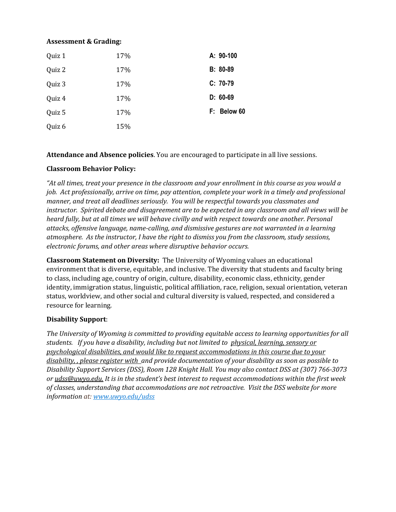### **Assessment & Grading:**

| Quiz 1 | 17% | A: 90-100   |
|--------|-----|-------------|
| Quiz 2 | 17% | B: 80-89    |
| Quiz 3 | 17% | C: 70-79    |
| Quiz 4 | 17% | $D: 60-69$  |
| Quiz 5 | 17% | F: Below 60 |
| Quiz 6 | 15% |             |

**Attendance and Absence policies**. You are encouraged to participate in all live sessions.

## **Classroom Behavior Policy:**

*"At all times, treat your presence in the classroom and your enrollment in this course as you would a job. Act professionally, arrive on time, pay attention, complete your work in a timely and professional manner, and treat all deadlines seriously. You will be respectful towards you classmates and instructor. Spirited debate and disagreement are to be expected in any classroom and all views will be heard fully, but at all times we will behave civilly and with respect towards one another. Personal attacks, offensive language, name-calling, and dismissive gestures are not warranted in a learning atmosphere. As the instructor, I have the right to dismiss you from the classroom, study sessions, electronic forums, and other areas where disruptive behavior occurs.*

**Classroom Statement on Diversity:** The University of Wyoming values an educational environment that is diverse, equitable, and inclusive. The diversity that students and faculty bring to class, including age, country of origin, culture, disability, economic class, ethnicity, gender identity, immigration status, linguistic, political affiliation, race, religion, sexual orientation, veteran status, worldview, and other social and cultural diversity is valued, respected, and considered a resource for learning.

## **Disability Support**:

*The University of Wyoming is committed to providing equitable access to learning opportunities for all students. If you have a disability, including but not limited to physical, learning, sensory or psychological disabilities, and would like to request accommodations in this course due to your disability, , please register with and provide documentation of your disability as soon as possible to Disability Support Services (DSS), Room 128 Knight Hall. You may also contact DSS at (307) 766-3073 or [udss@uwyo.edu.](mailto:udss@uwyo.edu) It is in the student's best interest to request accommodations within the first week of classes, understanding that accommodations are not retroactive. Visit the DSS website for more information at: [www.uwyo.edu/udss](http://www.uwyo.edu/udss)*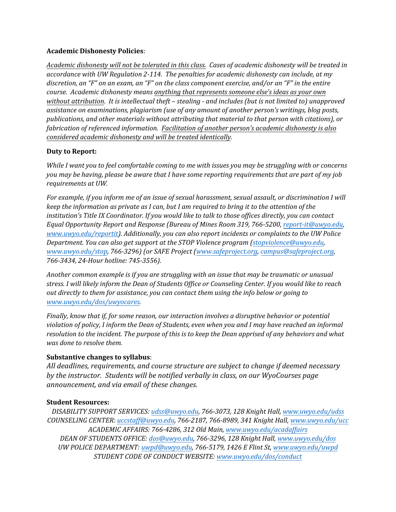## **Academic Dishonesty Policies**:

*Academic dishonesty will not be tolerated in this class. Cases of academic dishonesty will be treated in accordance with UW Regulation 2-114. The penalties for academic dishonesty can include, at my discretion, an "F" on an exam, an "F" on the class component exercise, and/or an "F" in the entire course. Academic dishonesty means anything that represents someone else's ideas as your own without attribution. It is intellectual theft – stealing - and includes (but is not limited to) unapproved assistance on examinations, plagiarism (use of any amount of another person's writings, blog posts, publications, and other materials without attributing that material to that person with citations), or fabrication of referenced information. Facilitation of another person's academic dishonesty is also considered academic dishonesty and will be treated identically.* 

## **Duty to Report:**

*While I want you to feel comfortable coming to me with issues you may be struggling with or concerns you may be having, please be aware that I have some reporting requirements that are part of my job requirements at UW.* 

*For example, if you inform me of an issue of sexual harassment, sexual assault, or discrimination I will keep the information as private as I can, but I am required to bring it to the attention of the institution's Title IX Coordinator. If you would like to talk to those offices directly, you can contact Equal Opportunity Report and Response (Bureau of Mines Room 319, 766-5200, [report-it@uwyo.edu,](mailto:report-it@uwyo.edu)  [www.uwyo.edu/reportit\)](http://www.uwyo.edu/reportit). Additionally, you can also report incidents or complaints to the UW Police Department. You can also get support at the STOP Violence program [\(stopviolence@uwyo.edu,](mailto:stopviolence@uwyo.edu) [www.uwyo.edu/stop,](http://www.uwyo.edu/stop) 766-3296) (or SAFE Project [\(www.safeproject.org,](http://www.safeproject.org/) [campus@safeproject.org,](mailto:campus@safeproject.org)  766-3434, 24-Hour hotline: 745-3556).*

*Another common example is if you are struggling with an issue that may be traumatic or unusual stress. I will likely inform the Dean of Students Office or Counseling Center. If you would like to reach out directly to them for assistance, you can contact them using the info below or going to [www.uwyo.edu/dos/uwyocares.](http://www.uwyo.edu/dos/uwyocares)*

*Finally, know that if, for some reason, our interaction involves a disruptive behavior or potential violation of policy, I inform the Dean of Students, even when you and I may have reached an informal resolution to the incident. The purpose of this is to keep the Dean apprised of any behaviors and what was done to resolve them.* 

## **Substantive changes to syllabus**:

*All deadlines, requirements, and course structure are subject to change if deemed necessary by the instructor. Students will be notified verbally in class, on our WyoCourses page announcement, and via email of these changes.* 

## **Student Resources:**

*DISABILITY SUPPORT SERVICES[: udss@uwyo.edu,](mailto:udss@uwyo.edu) 766-3073, 128 Knight Hall, [www.uwyo.edu/udss](http://www.uwyo.edu/udss) COUNSELING CENTER: [uccstaff@uwyo.edu,](mailto:uccstaff@uwyo.edu) 766-2187, 766-8989, 341 Knight Hall, [www.uwyo.edu/ucc](http://www.uwyo.edu/ucc) ACADEMIC AFFAIRS: 766-4286, 312 Old Main, [www.uwyo.edu/acadaffairs](http://www.uwyo.edu/acadaffairs) DEAN OF STUDENTS OFFICE: [dos@uwyo.edu,](mailto:dos@uwyo.edu) 766-3296, 128 Knight Hall, [www.uwyo.edu/dos](http://www.uwyo.edu/dos) UW POLICE DEPARTMENT: [uwpd@uwyo.edu,](mailto:uwpd@uwyo.edu) 766-5179, 1426 E Flint St[, www.uwyo.edu/uwpd](http://www.uwyo.edu/uwpd) STUDENT CODE OF CONDUCT WEBSITE: [www.uwyo.edu/dos/conduct](http://www.uwyo.edu/dos/conduct)*